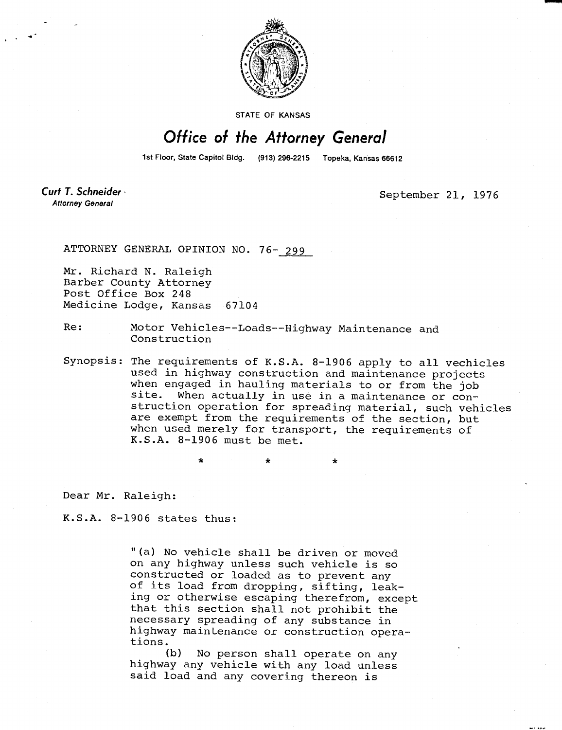

STATE OF KANSAS

## Office of the Attorney General

1st Floor, State Capitol Bldg. (913) 296-2215 Topeka, Kansas 66612

Curt T. Schneider **Attorney General** 

September 21, 1976

ATTORNEY GENERAL OPINION NO. 76- 299

Mr. Richard N. Raleigh Barber County Attorney Post Office Box 248 Medicine Lodge, Kansas 67104

Re: Motor Vehicles--Loads--Highway Maintenance and Construction

Synopsis: The requirements of K.S.A. 8-1906 apply to all vechicles used in highway construction and maintenance projects when engaged in hauling materials to or from the job site. When actually in use in a maintenance or construction operation for spreading material, such vehicles are exempt from the requirements of the section, but when used merely for transport, the requirements of K.S.A. 8-1906 must be met.

Dear Mr. Raleigh:

K.S.A. 8-1906 states thus:

"(a) No vehicle shall be driven or moved on any highway unless such vehicle is so constructed or loaded as to prevent any of its load from dropping, sifting, leaking or otherwise escaping therefrom, except that this section shall not prohibit the necessary spreading of any substance in highway maintenance or construction operations.

(b) No person shall operate on any highway any vehicle with any load unless said load and any covering thereon is